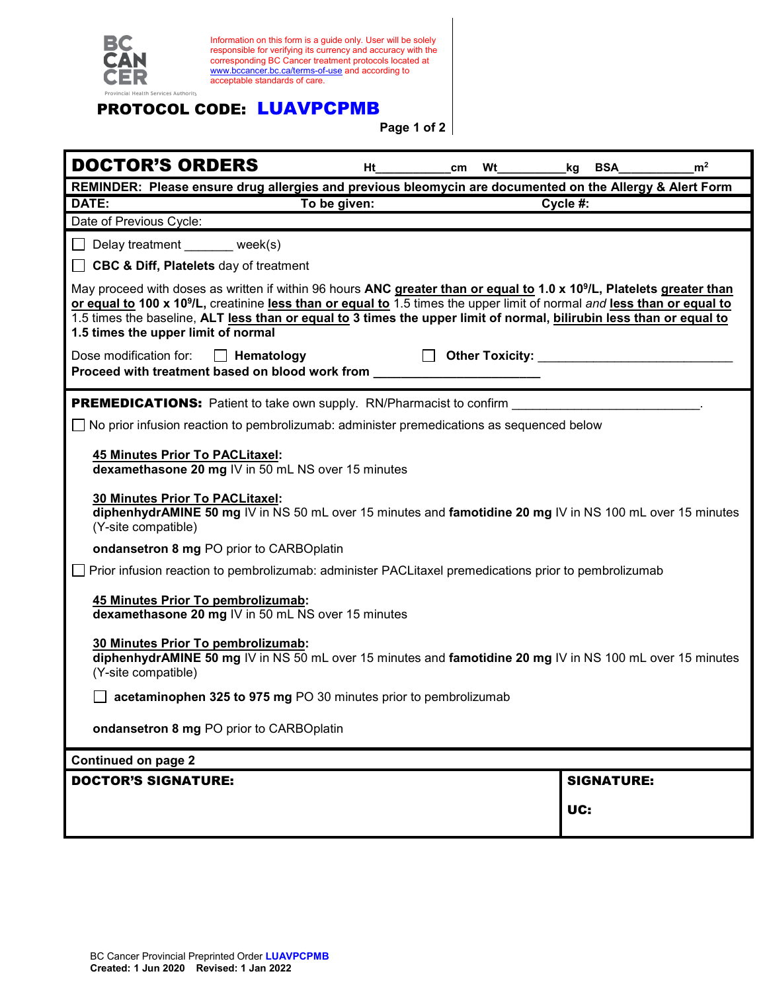

Information on this form is a guide only. User will be solely responsible for verifying its currency and accuracy with the corresponding BC Cancer treatment protocols located at [www.bccancer.bc.ca/terms-of-use](http://www.bccancer.bc.ca/terms-of-use) and according to acceptable standards of care.

## PROTOCOL CODE: LUAVPCPMB

**Page 1 of 2**

| <b>DOCTOR'S ORDERS</b>                                                                                                                                                                                                                                                                                                                                                                                                                    | Ηt | cm |  | <b>Wt</b><br>BSA<br>kg                                                                                                                                                                                                               | m <sup>2</sup> |  |
|-------------------------------------------------------------------------------------------------------------------------------------------------------------------------------------------------------------------------------------------------------------------------------------------------------------------------------------------------------------------------------------------------------------------------------------------|----|----|--|--------------------------------------------------------------------------------------------------------------------------------------------------------------------------------------------------------------------------------------|----------------|--|
| REMINDER: Please ensure drug allergies and previous bleomycin are documented on the Allergy & Alert Form                                                                                                                                                                                                                                                                                                                                  |    |    |  |                                                                                                                                                                                                                                      |                |  |
| DATE:<br>To be given:<br>Cycle #:                                                                                                                                                                                                                                                                                                                                                                                                         |    |    |  |                                                                                                                                                                                                                                      |                |  |
| Date of Previous Cycle:                                                                                                                                                                                                                                                                                                                                                                                                                   |    |    |  |                                                                                                                                                                                                                                      |                |  |
| Delay treatment _______ week(s)                                                                                                                                                                                                                                                                                                                                                                                                           |    |    |  |                                                                                                                                                                                                                                      |                |  |
| <b>CBC &amp; Diff, Platelets</b> day of treatment                                                                                                                                                                                                                                                                                                                                                                                         |    |    |  |                                                                                                                                                                                                                                      |                |  |
| May proceed with doses as written if within 96 hours ANC greater than or equal to 1.0 x 10 <sup>9</sup> /L, Platelets greater than<br>or equal to 100 x 10 <sup>9</sup> /L, creatinine less than or equal to 1.5 times the upper limit of normal and less than or equal to<br>1.5 times the baseline, ALT less than or equal to 3 times the upper limit of normal, bilirubin less than or equal to<br>1.5 times the upper limit of normal |    |    |  |                                                                                                                                                                                                                                      |                |  |
| Dose modification for:<br>$\Box$ Hematology<br>Proceed with treatment based on blood work from                                                                                                                                                                                                                                                                                                                                            |    |    |  | Other Toxicity: <b>Container Street Street Street Street Street Street Street Street Street Street Street Street Street Street Street Street Street Street Street Street Street Street Street Street Street Street Street Street</b> |                |  |
| <b>PREMEDICATIONS:</b> Patient to take own supply. RN/Pharmacist to confirm                                                                                                                                                                                                                                                                                                                                                               |    |    |  |                                                                                                                                                                                                                                      |                |  |
| No prior infusion reaction to pembrolizumab: administer premedications as sequenced below                                                                                                                                                                                                                                                                                                                                                 |    |    |  |                                                                                                                                                                                                                                      |                |  |
| <b>45 Minutes Prior To PACLitaxel:</b><br>dexamethasone 20 mg IV in 50 mL NS over 15 minutes<br>30 Minutes Prior To PACLitaxel:<br>diphenhydrAMINE 50 mg IV in NS 50 mL over 15 minutes and famotidine 20 mg IV in NS 100 mL over 15 minutes<br>(Y-site compatible)                                                                                                                                                                       |    |    |  |                                                                                                                                                                                                                                      |                |  |
| ondansetron 8 mg PO prior to CARBOplatin                                                                                                                                                                                                                                                                                                                                                                                                  |    |    |  |                                                                                                                                                                                                                                      |                |  |
| Prior infusion reaction to pembrolizumab: administer PACLitaxel premedications prior to pembrolizumab                                                                                                                                                                                                                                                                                                                                     |    |    |  |                                                                                                                                                                                                                                      |                |  |
| 45 Minutes Prior To pembrolizumab:<br>dexamethasone 20 mg IV in 50 mL NS over 15 minutes                                                                                                                                                                                                                                                                                                                                                  |    |    |  |                                                                                                                                                                                                                                      |                |  |
| 30 Minutes Prior To pembrolizumab:<br>diphenhydrAMINE 50 mg IV in NS 50 mL over 15 minutes and famotidine 20 mg IV in NS 100 mL over 15 minutes<br>(Y-site compatible)                                                                                                                                                                                                                                                                    |    |    |  |                                                                                                                                                                                                                                      |                |  |
| acetaminophen 325 to 975 mg PO 30 minutes prior to pembrolizumab                                                                                                                                                                                                                                                                                                                                                                          |    |    |  |                                                                                                                                                                                                                                      |                |  |
| ondansetron 8 mg PO prior to CARBOplatin                                                                                                                                                                                                                                                                                                                                                                                                  |    |    |  |                                                                                                                                                                                                                                      |                |  |
| <b>Continued on page 2</b>                                                                                                                                                                                                                                                                                                                                                                                                                |    |    |  |                                                                                                                                                                                                                                      |                |  |
| <b>DOCTOR'S SIGNATURE:</b>                                                                                                                                                                                                                                                                                                                                                                                                                |    |    |  | <b>SIGNATURE:</b>                                                                                                                                                                                                                    |                |  |
|                                                                                                                                                                                                                                                                                                                                                                                                                                           |    |    |  | UC:                                                                                                                                                                                                                                  |                |  |